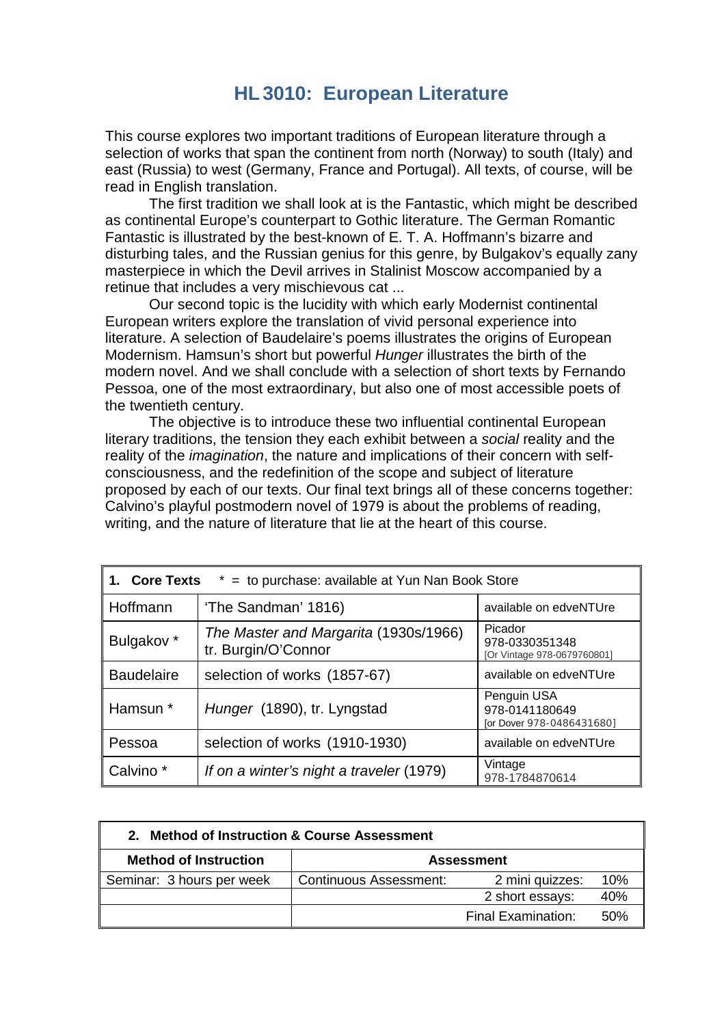## **HL3010: European Literature**

This course explores two important traditions of European literature through a selection of works that span the continent from north (Norway) to south (Italy) and east (Russia) to west (Germany, France and Portugal). All texts, of course, will be read in English translation.

The first tradition we shall look at is the Fantastic, which might be described as continental Europe's counterpart to Gothic literature. The German Romantic Fantastic is illustrated by the best-known of E. T. A. Hoffmann's bizarre and disturbing tales, and the Russian genius for this genre, by Bulgakov's equally zany masterpiece in which the Devil arrives in Stalinist Moscow accompanied by a retinue that includes a very mischievous cat ...

Our second topic is the lucidity with which early Modernist continental European writers explore the translation of vivid personal experience into literature. A selection of Baudelaire's poems illustrates the origins of European Modernism. Hamsun's short but powerful *Hunger* illustrates the birth of the modern novel. And we shall conclude with a selection of short texts by Fernando Pessoa, one of the most extraordinary, but also one of most accessible poets of the twentieth century.

The objective is to introduce these two influential continental European literary traditions, the tension they each exhibit between a *social* reality and the reality of the *imagination*, the nature and implications of their concern with selfconsciousness, and the redefinition of the scope and subject of literature proposed by each of our texts. Our final text brings all of these concerns together: Calvino's playful postmodern novel of 1979 is about the problems of reading, writing, and the nature of literature that lie at the heart of this course.

| <b>Core Texts</b><br>$*$ = to purchase: available at Yun Nan Book Store<br>1. |                                                              |                                                            |
|-------------------------------------------------------------------------------|--------------------------------------------------------------|------------------------------------------------------------|
| Hoffmann                                                                      | 'The Sandman' 1816)                                          | available on edveNTUre                                     |
| Bulgakov *                                                                    | The Master and Margarita (1930s/1966)<br>tr. Burgin/O'Connor | Picador<br>978-0330351348<br>[Or Vintage 978-0679760801]   |
| <b>Baudelaire</b>                                                             | selection of works (1857-67)                                 | available on edveNTUre                                     |
| Hamsun *                                                                      | Hunger (1890), tr. Lyngstad                                  | Penguin USA<br>978-0141180649<br>[or Dover 978-0486431680] |
| Pessoa                                                                        | selection of works (1910-1930)                               | available on edveNTUre                                     |
| Calvino <sup>*</sup>                                                          | If on a winter's night a traveler (1979)                     | Vintage<br>978-1784870614                                  |

| 2. Method of Instruction & Course Assessment |                               |                           |      |
|----------------------------------------------|-------------------------------|---------------------------|------|
| <b>Method of Instruction</b>                 | <b>Assessment</b>             |                           |      |
| Seminar: 3 hours per week                    | <b>Continuous Assessment:</b> | 2 mini quizzes:           | 10%  |
|                                              |                               | 2 short essays:           | 40%  |
|                                              |                               | <b>Final Examination:</b> | .50% |